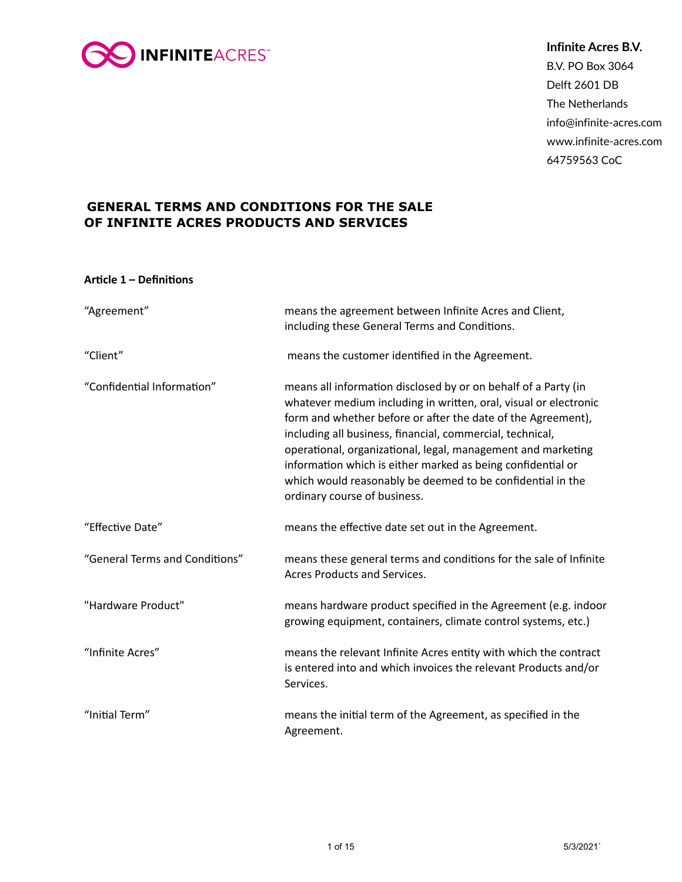

**Infinite Acres B.V.** B.V. PO Box 3064 Delft 2601 DB The Netherlands info@infinite-acres.com www.infinite-acres.com 64759563 CoC

# **GENERAL TERMS AND CONDITIONS FOR THE SALE OF INFINITE ACRES PRODUCTS AND SERVICES**

# **Article 1 – Definitions**

| "Agreement"                    | means the agreement between Infinite Acres and Client,<br>including these General Terms and Conditions.                                                                                                                                                                                                                                                                                                                                                                                      |
|--------------------------------|----------------------------------------------------------------------------------------------------------------------------------------------------------------------------------------------------------------------------------------------------------------------------------------------------------------------------------------------------------------------------------------------------------------------------------------------------------------------------------------------|
| "Client"                       | means the customer identified in the Agreement.                                                                                                                                                                                                                                                                                                                                                                                                                                              |
| "Confidential Information"     | means all information disclosed by or on behalf of a Party (in<br>whatever medium including in written, oral, visual or electronic<br>form and whether before or after the date of the Agreement),<br>including all business, financial, commercial, technical,<br>operational, organizational, legal, management and marketing<br>information which is either marked as being confidential or<br>which would reasonably be deemed to be confidential in the<br>ordinary course of business. |
| "Effective Date"               | means the effective date set out in the Agreement.                                                                                                                                                                                                                                                                                                                                                                                                                                           |
| "General Terms and Conditions" | means these general terms and conditions for the sale of Infinite<br>Acres Products and Services.                                                                                                                                                                                                                                                                                                                                                                                            |
| "Hardware Product"             | means hardware product specified in the Agreement (e.g. indoor<br>growing equipment, containers, climate control systems, etc.)                                                                                                                                                                                                                                                                                                                                                              |
| "Infinite Acres"               | means the relevant Infinite Acres entity with which the contract<br>is entered into and which invoices the relevant Products and/or<br>Services.                                                                                                                                                                                                                                                                                                                                             |
| "Initial Term"                 | means the initial term of the Agreement, as specified in the<br>Agreement.                                                                                                                                                                                                                                                                                                                                                                                                                   |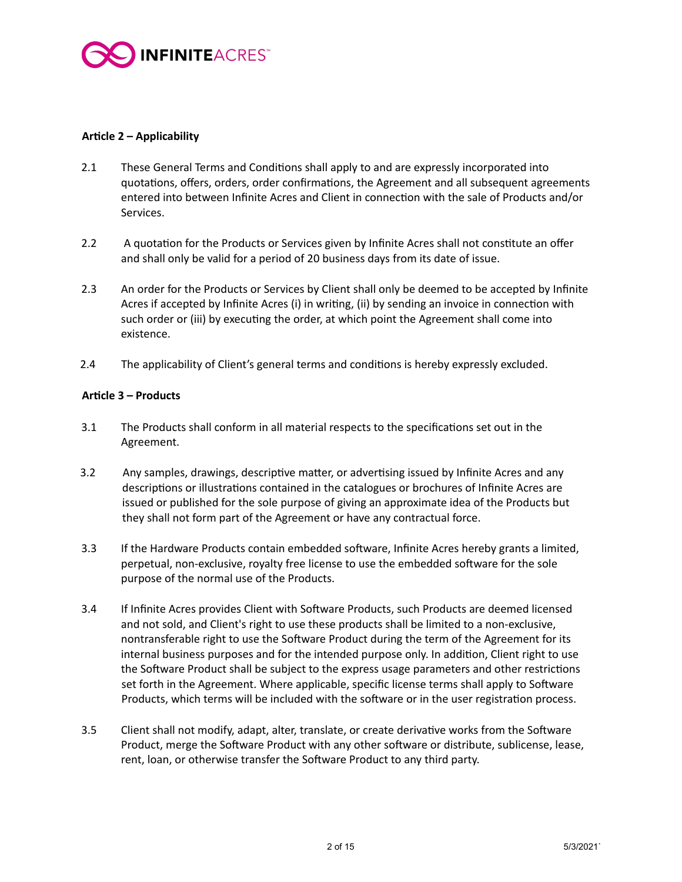

# Article 2 – Applicability

- 2.1 These General Terms and Conditions shall apply to and are expressly incorporated into quotations, offers, orders, order confirmations, the Agreement and all subsequent agreements entered into between Infinite Acres and Client in connection with the sale of Products and/or Services.
- 2.2 A quotation for the Products or Services given by Infinite Acres shall not constitute an offer and shall only be valid for a period of 20 business days from its date of issue.
- 2.3 An order for the Products or Services by Client shall only be deemed to be accepted by Infinite Acres if accepted by Infinite Acres (i) in writing, (ii) by sending an invoice in connection with such order or (iii) by executing the order, at which point the Agreement shall come into existence.
- 2.4 The applicability of Client's general terms and conditions is hereby expressly excluded.

# Article 3 – Products

- 3.1 The Products shall conform in all material respects to the specifications set out in the Agreement.
- 3.2 Any samples, drawings, descriptive matter, or advertising issued by Infinite Acres and any descriptions or illustrations contained in the catalogues or brochures of Infinite Acres are issued or published for the sole purpose of giving an approximate idea of the Products but they shall not form part of the Agreement or have any contractual force.
- 3.3 If the Hardware Products contain embedded software, Infinite Acres hereby grants a limited, perpetual, non-exclusive, royalty free license to use the embedded software for the sole purpose of the normal use of the Products.
- 3.4 If Infinite Acres provides Client with Software Products, such Products are deemed licensed and not sold, and Client's right to use these products shall be limited to a non-exclusive, nontransferable right to use the Software Product during the term of the Agreement for its internal business purposes and for the intended purpose only. In addition, Client right to use the Software Product shall be subject to the express usage parameters and other restrictions set forth in the Agreement. Where applicable, specific license terms shall apply to Software Products, which terms will be included with the software or in the user registration process.
- 3.5 Client shall not modify, adapt, alter, translate, or create derivative works from the Software Product, merge the Software Product with any other software or distribute, sublicense, lease, rent, loan, or otherwise transfer the Software Product to any third party.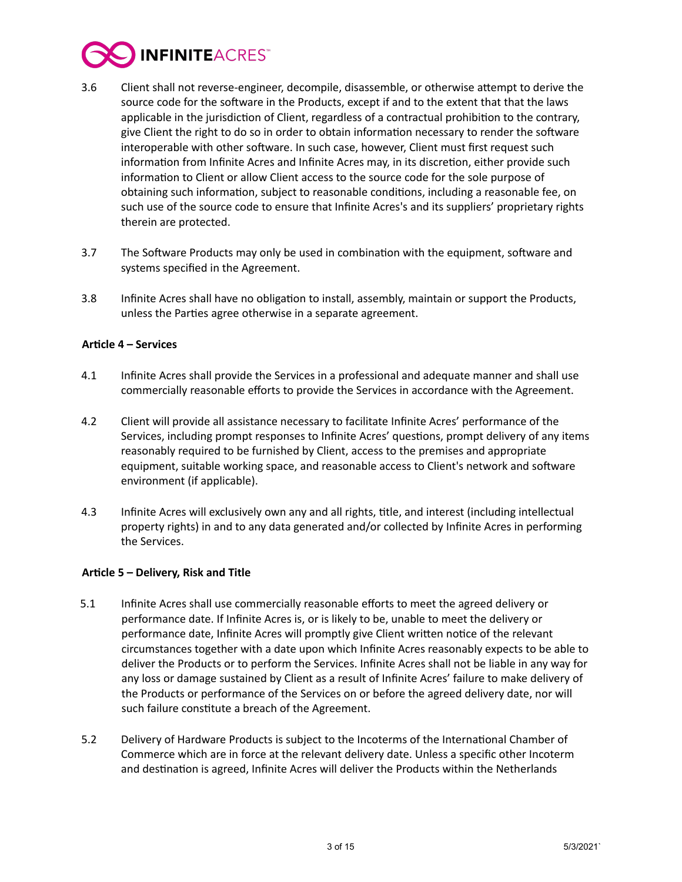

- 3.6 Client shall not reverse-engineer, decompile, disassemble, or otherwise attempt to derive the source code for the software in the Products, except if and to the extent that that the laws applicable in the jurisdiction of Client, regardless of a contractual prohibition to the contrary, give Client the right to do so in order to obtain information necessary to render the software interoperable with other software. In such case, however, Client must first request such information from Infinite Acres and Infinite Acres may, in its discretion, either provide such information to Client or allow Client access to the source code for the sole purpose of obtaining such information, subject to reasonable conditions, including a reasonable fee, on such use of the source code to ensure that Infinite Acres's and its suppliers' proprietary rights therein are protected.
- 3.7 The Software Products may only be used in combination with the equipment, software and systems specified in the Agreement.
- 3.8 Infinite Acres shall have no obligation to install, assembly, maintain or support the Products, unless the Parties agree otherwise in a separate agreement.

#### **Article 4 – Services**

- 4.1 Infinite Acres shall provide the Services in a professional and adequate manner and shall use commercially reasonable efforts to provide the Services in accordance with the Agreement.
- 4.2 Client will provide all assistance necessary to facilitate Infinite Acres' performance of the Services, including prompt responses to Infinite Acres' questions, prompt delivery of any items reasonably required to be furnished by Client, access to the premises and appropriate equipment, suitable working space, and reasonable access to Client's network and software environment (if applicable).
- 4.3 Infinite Acres will exclusively own any and all rights, title, and interest (including intellectual property rights) in and to any data generated and/or collected by Infinite Acres in performing the Services.

# Article 5 – Delivery, Risk and Title

- 5.1 Infinite Acres shall use commercially reasonable efforts to meet the agreed delivery or performance date. If Infinite Acres is, or is likely to be, unable to meet the delivery or performance date, Infinite Acres will promptly give Client written notice of the relevant circumstances together with a date upon which Infinite Acres reasonably expects to be able to deliver the Products or to perform the Services. Infinite Acres shall not be liable in any way for any loss or damage sustained by Client as a result of Infinite Acres' failure to make delivery of the Products or performance of the Services on or before the agreed delivery date, nor will such failure constitute a breach of the Agreement.
- 5.2 Delivery of Hardware Products is subject to the Incoterms of the International Chamber of Commerce which are in force at the relevant delivery date. Unless a specific other Incoterm and destination is agreed, Infinite Acres will deliver the Products within the Netherlands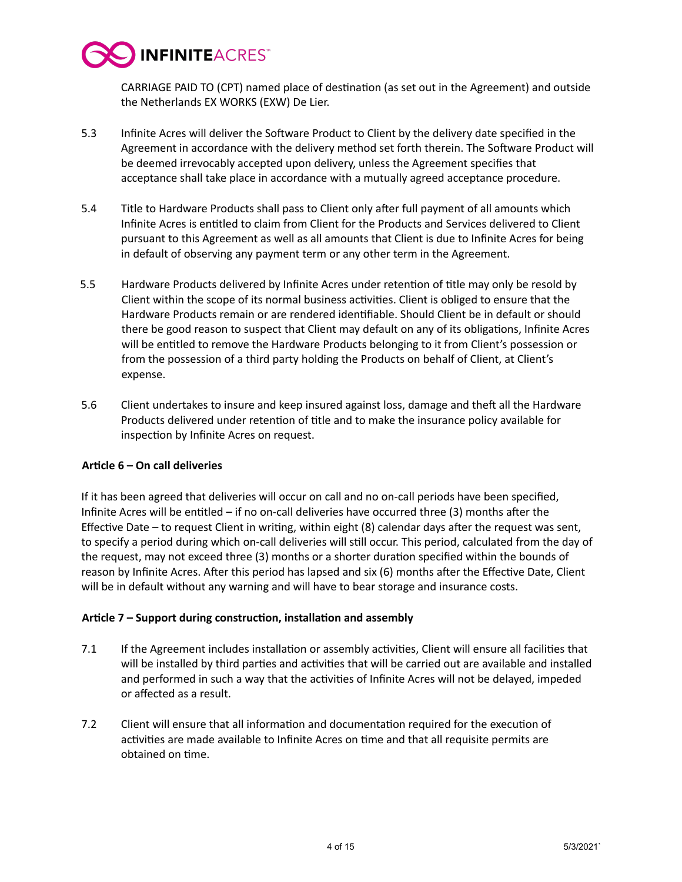

CARRIAGE PAID TO (CPT) named place of destination (as set out in the Agreement) and outside the Netherlands EX WORKS (EXW) De Lier.

- 5.3 Infinite Acres will deliver the Software Product to Client by the delivery date specified in the Agreement in accordance with the delivery method set forth therein. The Software Product will be deemed irrevocably accepted upon delivery, unless the Agreement specifies that acceptance shall take place in accordance with a mutually agreed acceptance procedure.
- 5.4 Title to Hardware Products shall pass to Client only after full payment of all amounts which Infinite Acres is entitled to claim from Client for the Products and Services delivered to Client pursuant to this Agreement as well as all amounts that Client is due to Infinite Acres for being in default of observing any payment term or any other term in the Agreement.
- 5.5 Hardware Products delivered by Infinite Acres under retention of title may only be resold by Client within the scope of its normal business activities. Client is obliged to ensure that the Hardware Products remain or are rendered identifiable. Should Client be in default or should there be good reason to suspect that Client may default on any of its obligations, Infinite Acres will be entitled to remove the Hardware Products belonging to it from Client's possession or from the possession of a third party holding the Products on behalf of Client, at Client's expense.
- 5.6 Client undertakes to insure and keep insured against loss, damage and theft all the Hardware Products delivered under retention of title and to make the insurance policy available for inspection by Infinite Acres on request.

# Article 6 - On call deliveries

If it has been agreed that deliveries will occur on call and no on-call periods have been specified, Infinite Acres will be entitled  $-$  if no on-call deliveries have occurred three (3) months after the Effective Date – to request Client in writing, within eight  $(8)$  calendar days after the request was sent, to specify a period during which on-call deliveries will still occur. This period, calculated from the day of the request, may not exceed three (3) months or a shorter duration specified within the bounds of reason by Infinite Acres. After this period has lapsed and six (6) months after the Effective Date, Client will be in default without any warning and will have to bear storage and insurance costs.

# Article 7 – Support during construction, installation and assembly

- 7.1 If the Agreement includes installation or assembly activities, Client will ensure all facilities that will be installed by third parties and activities that will be carried out are available and installed and performed in such a way that the activities of Infinite Acres will not be delayed, impeded or affected as a result.
- 7.2 Client will ensure that all information and documentation required for the execution of activities are made available to Infinite Acres on time and that all requisite permits are obtained on time.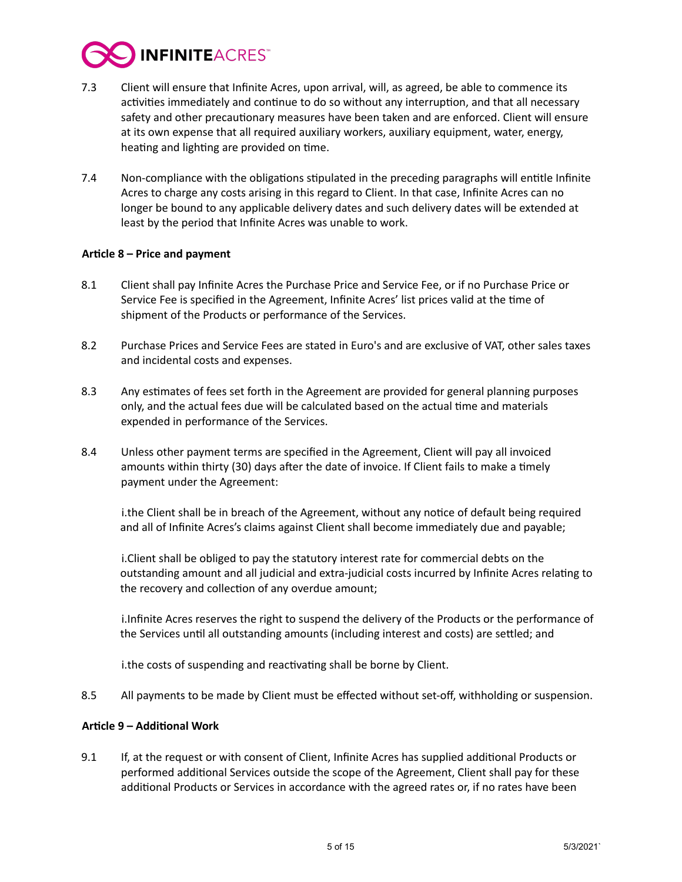

- 7.3 Client will ensure that Infinite Acres, upon arrival, will, as agreed, be able to commence its activities immediately and continue to do so without any interruption, and that all necessary safety and other precautionary measures have been taken and are enforced. Client will ensure at its own expense that all required auxiliary workers, auxiliary equipment, water, energy, heating and lighting are provided on time.
- 7.4 Non-compliance with the obligations stipulated in the preceding paragraphs will entitle Infinite Acres to charge any costs arising in this regard to Client. In that case, Infinite Acres can no longer be bound to any applicable delivery dates and such delivery dates will be extended at least by the period that Infinite Acres was unable to work.

# Article 8 – Price and payment

- 8.1 Client shall pay Infinite Acres the Purchase Price and Service Fee, or if no Purchase Price or Service Fee is specified in the Agreement, Infinite Acres' list prices valid at the time of shipment of the Products or performance of the Services.
- 8.2 Purchase Prices and Service Fees are stated in Euro's and are exclusive of VAT, other sales taxes and incidental costs and expenses.
- 8.3 Any estimates of fees set forth in the Agreement are provided for general planning purposes only, and the actual fees due will be calculated based on the actual time and materials expended in performance of the Services.
- 8.4 Unless other payment terms are specified in the Agreement, Client will pay all invoiced amounts within thirty (30) days after the date of invoice. If Client fails to make a timely payment under the Agreement:

i. the Client shall be in breach of the Agreement, without any notice of default being required and all of Infinite Acres's claims against Client shall become immediately due and payable;

i. Client shall be obliged to pay the statutory interest rate for commercial debts on the outstanding amount and all judicial and extra-judicial costs incurred by Infinite Acres relating to the recovery and collection of any overdue amount;

i. Infinite Acres reserves the right to suspend the delivery of the Products or the performance of the Services until all outstanding amounts (including interest and costs) are settled; and

i. the costs of suspending and reactivating shall be borne by Client.

8.5 All payments to be made by Client must be effected without set-off, withholding or suspension.

#### **Article 9 - Additional Work**

9.1 If, at the request or with consent of Client, Infinite Acres has supplied additional Products or performed additional Services outside the scope of the Agreement, Client shall pay for these additional Products or Services in accordance with the agreed rates or, if no rates have been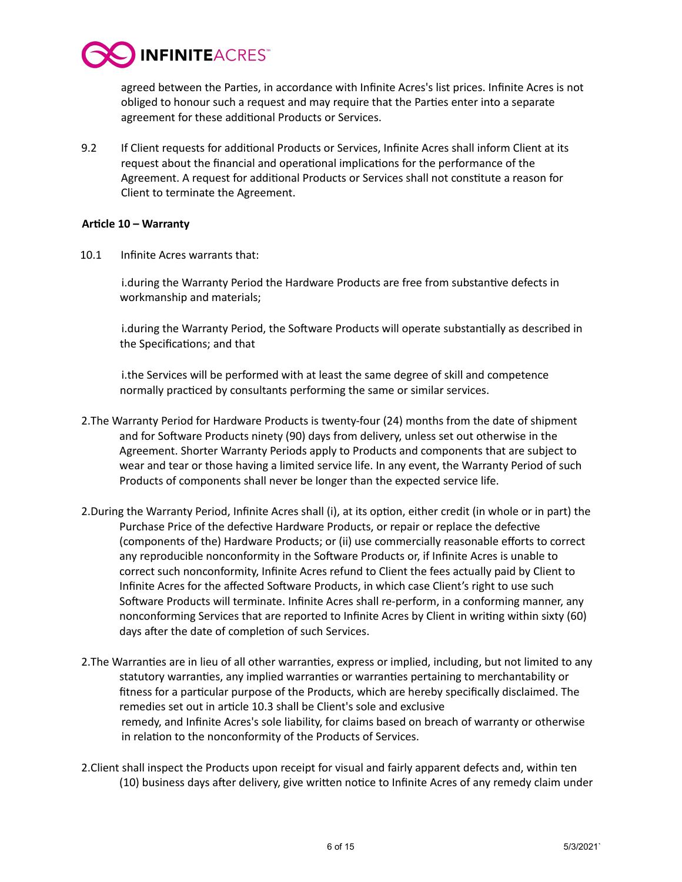

agreed between the Parties, in accordance with Infinite Acres's list prices. Infinite Acres is not obliged to honour such a request and may require that the Parties enter into a separate agreement for these additional Products or Services.

9.2 If Client requests for additional Products or Services, Infinite Acres shall inform Client at its request about the financial and operational implications for the performance of the Agreement. A request for additional Products or Services shall not constitute a reason for Client to terminate the Agreement.

# Article 10 – Warranty

10.1 Infinite Acres warrants that:

i.during the Warranty Period the Hardware Products are free from substantive defects in workmanship and materials;

i.during the Warranty Period, the Software Products will operate substantially as described in the Specifications; and that

i. the Services will be performed with at least the same degree of skill and competence normally practiced by consultants performing the same or similar services.

- 2. The Warranty Period for Hardware Products is twenty-four (24) months from the date of shipment and for Software Products ninety (90) days from delivery, unless set out otherwise in the Agreement. Shorter Warranty Periods apply to Products and components that are subject to wear and tear or those having a limited service life. In any event, the Warranty Period of such Products of components shall never be longer than the expected service life.
- 2. During the Warranty Period, Infinite Acres shall (i), at its option, either credit (in whole or in part) the Purchase Price of the defective Hardware Products, or repair or replace the defective (components of the) Hardware Products; or (ii) use commercially reasonable efforts to correct any reproducible nonconformity in the Software Products or, if Infinite Acres is unable to correct such nonconformity, Infinite Acres refund to Client the fees actually paid by Client to Infinite Acres for the affected Software Products, in which case Client's right to use such Software Products will terminate. Infinite Acres shall re-perform, in a conforming manner, any nonconforming Services that are reported to Infinite Acres by Client in writing within sixty (60) days after the date of completion of such Services.
- 2. The Warranties are in lieu of all other warranties, express or implied, including, but not limited to any statutory warranties, any implied warranties or warranties pertaining to merchantability or fitness for a particular purpose of the Products, which are hereby specifically disclaimed. The remedies set out in article 10.3 shall be Client's sole and exclusive remedy, and Infinite Acres's sole liability, for claims based on breach of warranty or otherwise in relation to the nonconformity of the Products of Services.
- 2. Client shall inspect the Products upon receipt for visual and fairly apparent defects and, within ten (10) business days after delivery, give written notice to Infinite Acres of any remedy claim under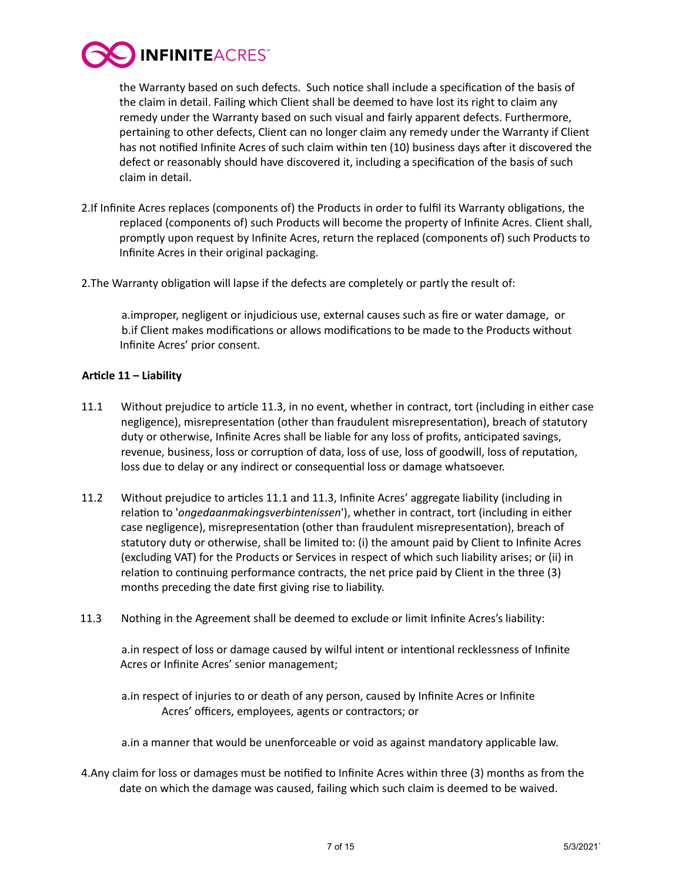

the Warranty based on such defects. Such notice shall include a specification of the basis of the claim in detail. Failing which Client shall be deemed to have lost its right to claim any remedy under the Warranty based on such visual and fairly apparent defects. Furthermore, pertaining to other defects, Client can no longer claim any remedy under the Warranty if Client has not notified Infinite Acres of such claim within ten (10) business days after it discovered the defect or reasonably should have discovered it, including a specification of the basis of such claim in detail.

- 2.If Infinite Acres replaces (components of) the Products in order to fulfil its Warranty obligations, the replaced (components of) such Products will become the property of Infinite Acres. Client shall, promptly upon request by Infinite Acres, return the replaced (components of) such Products to Infinite Acres in their original packaging.
- 2. The Warranty obligation will lapse if the defects are completely or partly the result of:

a.improper, negligent or injudicious use, external causes such as fire or water damage, or b.if Client makes modifications or allows modifications to be made to the Products without Infinite Acres' prior consent.

# Article 11 – Liability

- 11.1 Without prejudice to article 11.3, in no event, whether in contract, tort (including in either case negligence), misrepresentation (other than fraudulent misrepresentation), breach of statutory duty or otherwise, Infinite Acres shall be liable for any loss of profits, anticipated savings, revenue, business, loss or corruption of data, loss of use, loss of goodwill, loss of reputation, loss due to delay or any indirect or consequential loss or damage whatsoever.
- 11.2 Without prejudice to articles 11.1 and 11.3, Infinite Acres' aggregate liability (including in relation to '*ongedaanmakingsverbintenissen*'), whether in contract, tort (including in either case negligence), misrepresentation (other than fraudulent misrepresentation), breach of statutory duty or otherwise, shall be limited to: (i) the amount paid by Client to Infinite Acres (excluding VAT) for the Products or Services in respect of which such liability arises; or (ii) in relation to continuing performance contracts, the net price paid by Client in the three (3) months preceding the date first giving rise to liability.
- 11.3 Nothing in the Agreement shall be deemed to exclude or limit Infinite Acres's liability:

a. in respect of loss or damage caused by wilful intent or intentional recklessness of Infinite Acres or Infinite Acres' senior management;

a. in respect of injuries to or death of any person, caused by Infinite Acres or Infinite Acres' officers, employees, agents or contractors; or

a. in a manner that would be unenforceable or void as against mandatory applicable law.

4.Any claim for loss or damages must be notified to Infinite Acres within three (3) months as from the date on which the damage was caused, failing which such claim is deemed to be waived.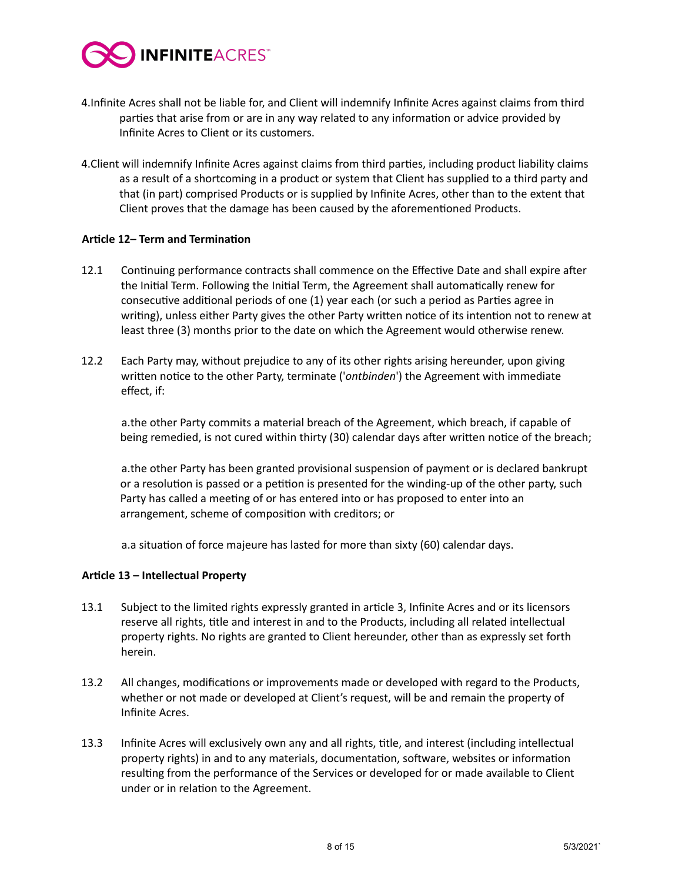

- 4.Infinite Acres shall not be liable for, and Client will indemnify Infinite Acres against claims from third parties that arise from or are in any way related to any information or advice provided by Infinite Acres to Client or its customers.
- 4. Client will indemnify Infinite Acres against claims from third parties, including product liability claims as a result of a shortcoming in a product or system that Client has supplied to a third party and that (in part) comprised Products or is supplied by Infinite Acres, other than to the extent that Client proves that the damage has been caused by the aforementioned Products.

# **Article 12– Term and Termination**

- 12.1 Continuing performance contracts shall commence on the Effective Date and shall expire after the Initial Term. Following the Initial Term, the Agreement shall automatically renew for consecutive additional periods of one (1) year each (or such a period as Parties agree in writing), unless either Party gives the other Party written notice of its intention not to renew at least three (3) months prior to the date on which the Agreement would otherwise renew.
- 12.2 Each Party may, without prejudice to any of its other rights arising hereunder, upon giving written notice to the other Party, terminate ('*ontbinden*') the Agreement with immediate effect, if:

a.the other Party commits a material breach of the Agreement, which breach, if capable of being remedied, is not cured within thirty (30) calendar days after written notice of the breach;

a.the other Party has been granted provisional suspension of payment or is declared bankrupt or a resolution is passed or a petition is presented for the winding-up of the other party, such Party has called a meeting of or has entered into or has proposed to enter into an arrangement, scheme of composition with creditors; or

a.a situation of force majeure has lasted for more than sixty (60) calendar days.

#### Article 13 – Intellectual Property

- 13.1 Subject to the limited rights expressly granted in article 3, Infinite Acres and or its licensors reserve all rights, title and interest in and to the Products, including all related intellectual property rights. No rights are granted to Client hereunder, other than as expressly set forth herein.
- 13.2 All changes, modifications or improvements made or developed with regard to the Products, whether or not made or developed at Client's request, will be and remain the property of Infinite Acres.
- 13.3 Infinite Acres will exclusively own any and all rights, title, and interest (including intellectual property rights) in and to any materials, documentation, software, websites or information resulting from the performance of the Services or developed for or made available to Client under or in relation to the Agreement.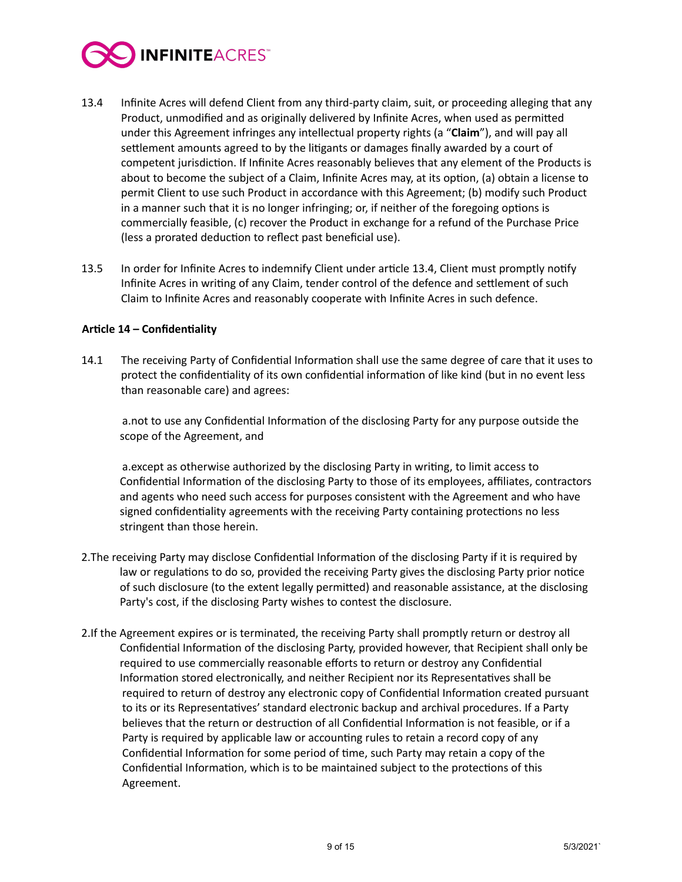

- 13.4 Infinite Acres will defend Client from any third-party claim, suit, or proceeding alleging that any Product, unmodified and as originally delivered by Infinite Acres, when used as permitted under this Agreement infringes any intellectual property rights (a "**Claim**"), and will pay all settlement amounts agreed to by the litigants or damages finally awarded by a court of competent jurisdiction. If Infinite Acres reasonably believes that any element of the Products is about to become the subject of a Claim, Infinite Acres may, at its option, (a) obtain a license to permit Client to use such Product in accordance with this Agreement; (b) modify such Product in a manner such that it is no longer infringing; or, if neither of the foregoing options is commercially feasible, (c) recover the Product in exchange for a refund of the Purchase Price (less a prorated deduction to reflect past beneficial use).
- 13.5 In order for Infinite Acres to indemnify Client under article 13.4, Client must promptly notify Infinite Acres in writing of any Claim, tender control of the defence and settlement of such Claim to Infinite Acres and reasonably cooperate with Infinite Acres in such defence.

# Article 14 - Confidentiality

14.1 The receiving Party of Confidential Information shall use the same degree of care that it uses to protect the confidentiality of its own confidential information of like kind (but in no event less than reasonable care) and agrees:

a.not to use any Confidential Information of the disclosing Party for any purpose outside the scope of the Agreement, and

a.except as otherwise authorized by the disclosing Party in writing, to limit access to Confidential Information of the disclosing Party to those of its employees, affiliates, contractors and agents who need such access for purposes consistent with the Agreement and who have signed confidentiality agreements with the receiving Party containing protections no less stringent than those herein.

- 2. The receiving Party may disclose Confidential Information of the disclosing Party if it is required by law or regulations to do so, provided the receiving Party gives the disclosing Party prior notice of such disclosure (to the extent legally permitted) and reasonable assistance, at the disclosing Party's cost, if the disclosing Party wishes to contest the disclosure.
- 2. If the Agreement expires or is terminated, the receiving Party shall promptly return or destroy all Confidential Information of the disclosing Party, provided however, that Recipient shall only be required to use commercially reasonable efforts to return or destroy any Confidential Information stored electronically, and neither Recipient nor its Representatives shall be required to return of destroy any electronic copy of Confidential Information created pursuant to its or its Representatives' standard electronic backup and archival procedures. If a Party believes that the return or destruction of all Confidential Information is not feasible, or if a Party is required by applicable law or accounting rules to retain a record copy of any Confidential Information for some period of time, such Party may retain a copy of the Confidential Information, which is to be maintained subject to the protections of this Agreement.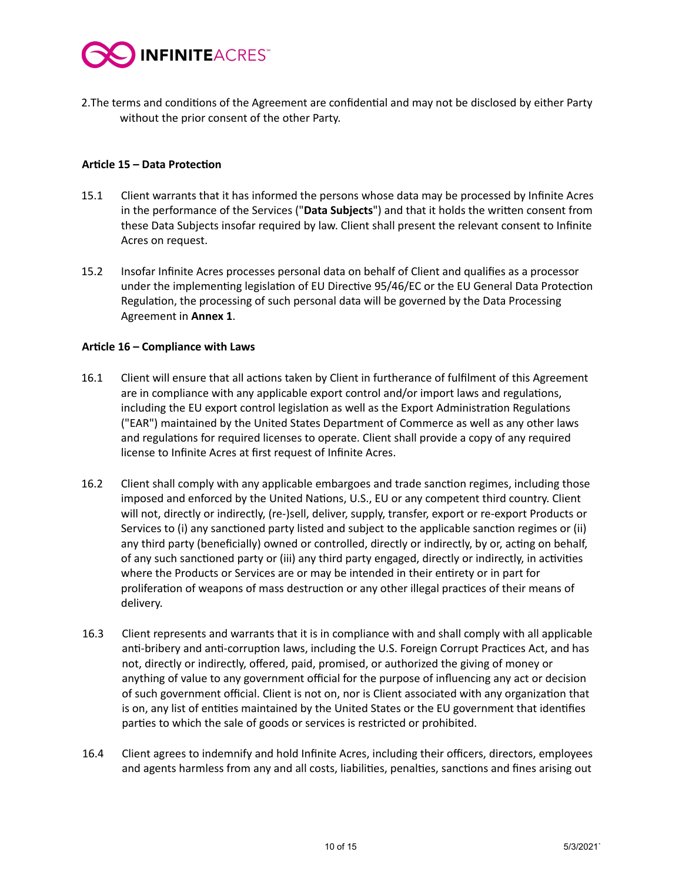

2. The terms and conditions of the Agreement are confidential and may not be disclosed by either Party without the prior consent of the other Party.

# Article 15 - Data Protection

- 15.1 Client warrants that it has informed the persons whose data may be processed by Infinite Acres in the performance of the Services ("Data Subjects") and that it holds the written consent from these Data Subjects insofar required by law. Client shall present the relevant consent to Infinite Acres on request.
- 15.2 Insofar Infinite Acres processes personal data on behalf of Client and qualifies as a processor under the implementing legislation of EU Directive 95/46/EC or the EU General Data Protection Regulation, the processing of such personal data will be governed by the Data Processing Agreement in **Annex 1**.

# Article 16 – Compliance with Laws

- 16.1 Client will ensure that all actions taken by Client in furtherance of fulfilment of this Agreement are in compliance with any applicable export control and/or import laws and regulations, including the EU export control legislation as well as the Export Administration Regulations ("EAR") maintained by the United States Department of Commerce as well as any other laws and regulations for required licenses to operate. Client shall provide a copy of any required license to Infinite Acres at first request of Infinite Acres.
- 16.2 Client shall comply with any applicable embargoes and trade sanction regimes, including those imposed and enforced by the United Nations, U.S., EU or any competent third country. Client will not, directly or indirectly, (re-)sell, deliver, supply, transfer, export or re-export Products or Services to (i) any sanctioned party listed and subject to the applicable sanction regimes or (ii) any third party (beneficially) owned or controlled, directly or indirectly, by or, acting on behalf, of any such sanctioned party or (iii) any third party engaged, directly or indirectly, in activities where the Products or Services are or may be intended in their entirety or in part for proliferation of weapons of mass destruction or any other illegal practices of their means of delivery.
- 16.3 Client represents and warrants that it is in compliance with and shall comply with all applicable anti-bribery and anti-corruption laws, including the U.S. Foreign Corrupt Practices Act, and has not, directly or indirectly, offered, paid, promised, or authorized the giving of money or anything of value to any government official for the purpose of influencing any act or decision of such government official. Client is not on, nor is Client associated with any organization that is on, any list of entities maintained by the United States or the EU government that identifies parties to which the sale of goods or services is restricted or prohibited.
- 16.4 Client agrees to indemnify and hold Infinite Acres, including their officers, directors, employees and agents harmless from any and all costs, liabilities, penalties, sanctions and fines arising out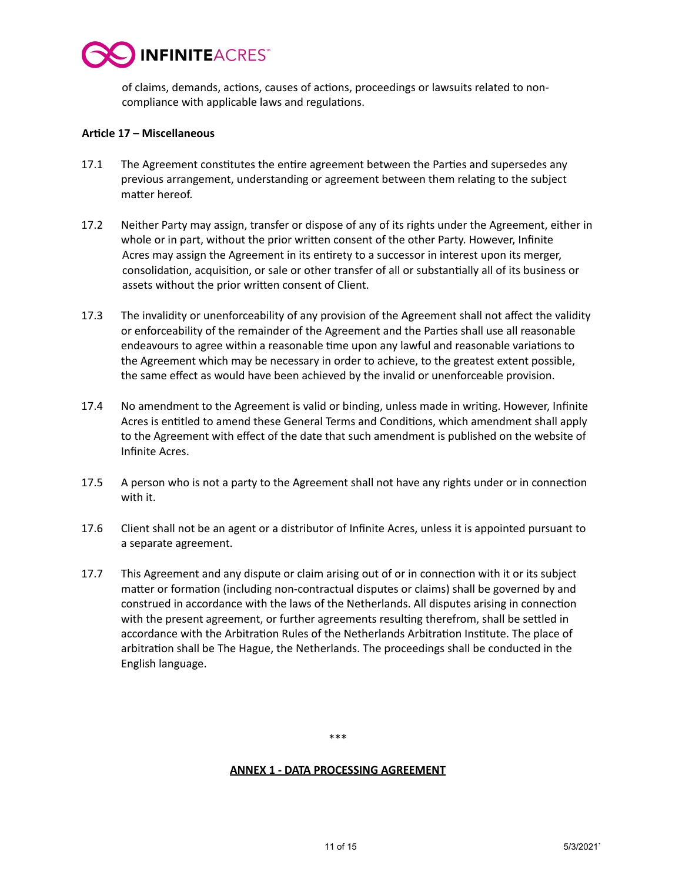

of claims, demands, actions, causes of actions, proceedings or lawsuits related to noncompliance with applicable laws and regulations.

#### Article 17 - Miscellaneous

- 17.1 The Agreement constitutes the entire agreement between the Parties and supersedes any previous arrangement, understanding or agreement between them relating to the subject matter hereof.
- 17.2 Neither Party may assign, transfer or dispose of any of its rights under the Agreement, either in whole or in part, without the prior written consent of the other Party. However, Infinite Acres may assign the Agreement in its entirety to a successor in interest upon its merger, consolidation, acquisition, or sale or other transfer of all or substantially all of its business or assets without the prior written consent of Client.
- 17.3 The invalidity or unenforceability of any provision of the Agreement shall not affect the validity or enforceability of the remainder of the Agreement and the Parties shall use all reasonable endeavours to agree within a reasonable time upon any lawful and reasonable variations to the Agreement which may be necessary in order to achieve, to the greatest extent possible, the same effect as would have been achieved by the invalid or unenforceable provision.
- 17.4 No amendment to the Agreement is valid or binding, unless made in writing. However, Infinite Acres is entitled to amend these General Terms and Conditions, which amendment shall apply to the Agreement with effect of the date that such amendment is published on the website of Infinite Acres.
- 17.5 A person who is not a party to the Agreement shall not have any rights under or in connection with it.
- 17.6 Client shall not be an agent or a distributor of Infinite Acres, unless it is appointed pursuant to a separate agreement.
- 17.7 This Agreement and any dispute or claim arising out of or in connection with it or its subject matter or formation (including non-contractual disputes or claims) shall be governed by and construed in accordance with the laws of the Netherlands. All disputes arising in connection with the present agreement, or further agreements resulting therefrom, shall be settled in accordance with the Arbitration Rules of the Netherlands Arbitration Institute. The place of arbitration shall be The Hague, the Netherlands. The proceedings shall be conducted in the English language.

\*\*\* 

### **ANNEX 1 - DATA PROCESSING AGREEMENT**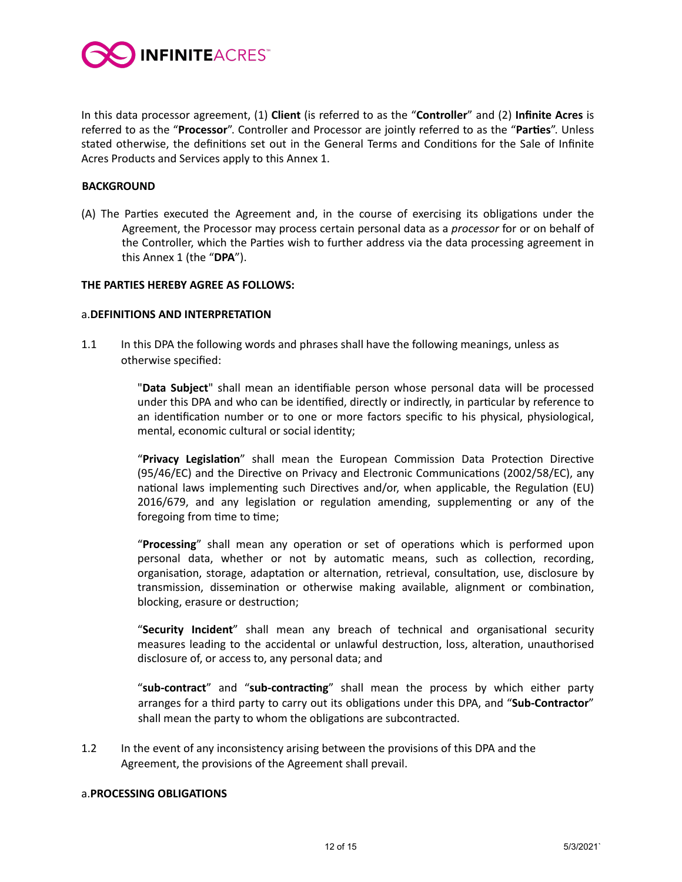

In this data processor agreement, (1) Client (is referred to as the "Controller" and (2) Infinite Acres is referred to as the "Processor". Controller and Processor are jointly referred to as the "Parties". Unless stated otherwise, the definitions set out in the General Terms and Conditions for the Sale of Infinite Acres Products and Services apply to this Annex 1.

#### **BACKGROUND**

(A) The Parties executed the Agreement and, in the course of exercising its obligations under the Agreement, the Processor may process certain personal data as a *processor* for or on behalf of the Controller, which the Parties wish to further address via the data processing agreement in this Annex 1 (the "DPA").

#### **THE PARTIES HEREBY AGREE AS FOLLOWS:**

#### a.**DEFINITIONS AND INTERPRETATION**

1.1 In this DPA the following words and phrases shall have the following meanings, unless as otherwise specified:

> "Data Subject" shall mean an identifiable person whose personal data will be processed under this DPA and who can be identified, directly or indirectly, in particular by reference to an identification number or to one or more factors specific to his physical, physiological, mental, economic cultural or social identity;

> "Privacy Legislation" shall mean the European Commission Data Protection Directive (95/46/EC) and the Directive on Privacy and Electronic Communications (2002/58/EC), any national laws implementing such Directives and/or, when applicable, the Regulation (EU) 2016/679, and any legislation or regulation amending, supplementing or any of the foregoing from time to time;

> "Processing" shall mean any operation or set of operations which is performed upon personal data, whether or not by automatic means, such as collection, recording, organisation, storage, adaptation or alternation, retrieval, consultation, use, disclosure by transmission, dissemination or otherwise making available, alignment or combination, blocking, erasure or destruction;

> "Security Incident" shall mean any breach of technical and organisational security measures leading to the accidental or unlawful destruction, loss, alteration, unauthorised disclosure of, or access to, any personal data; and

> "**sub-contract**" and "**sub-contracting**" shall mean the process by which either party arranges for a third party to carry out its obligations under this DPA, and "Sub-Contractor" shall mean the party to whom the obligations are subcontracted.

1.2 In the event of any inconsistency arising between the provisions of this DPA and the Agreement, the provisions of the Agreement shall prevail.

#### a.**PROCESSING OBLIGATIONS**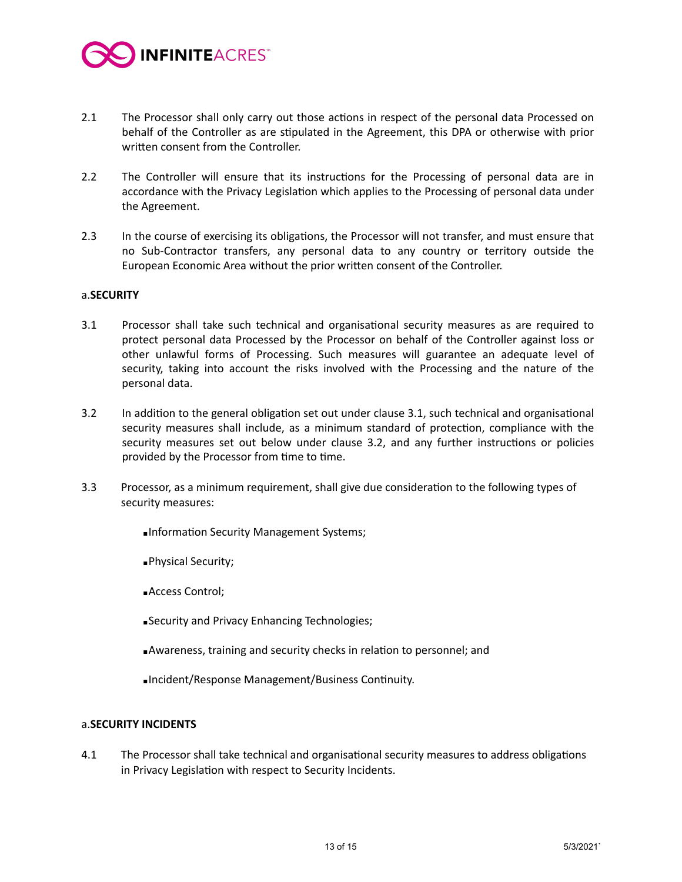

- 2.1 The Processor shall only carry out those actions in respect of the personal data Processed on behalf of the Controller as are stipulated in the Agreement, this DPA or otherwise with prior written consent from the Controller.
- 2.2 The Controller will ensure that its instructions for the Processing of personal data are in accordance with the Privacy Legislation which applies to the Processing of personal data under the Agreement.
- 2.3 In the course of exercising its obligations, the Processor will not transfer, and must ensure that no Sub-Contractor transfers, any personal data to any country or territory outside the European Economic Area without the prior written consent of the Controller.

# **a.SECURITY**

- 3.1 Processor shall take such technical and organisational security measures as are required to protect personal data Processed by the Processor on behalf of the Controller against loss or other unlawful forms of Processing. Such measures will guarantee an adequate level of security, taking into account the risks involved with the Processing and the nature of the personal data.
- 3.2 In addition to the general obligation set out under clause 3.1, such technical and organisational security measures shall include, as a minimum standard of protection, compliance with the security measures set out below under clause 3.2, and any further instructions or policies provided by the Processor from time to time.
- 3.3 Processor, as a minimum requirement, shall give due consideration to the following types of security measures:
	- **Information Security Management Systems;**
	- ▪Physical Security;
	- ■Access Control;
	- **B**<br /> **Example 26 Following Technologies;**
	- ■Awareness, training and security checks in relation to personnel; and
	- ▪Incident/Response Management/Business Continuity.

#### a.**SECURITY INCIDENTS**

4.1 The Processor shall take technical and organisational security measures to address obligations in Privacy Legislation with respect to Security Incidents.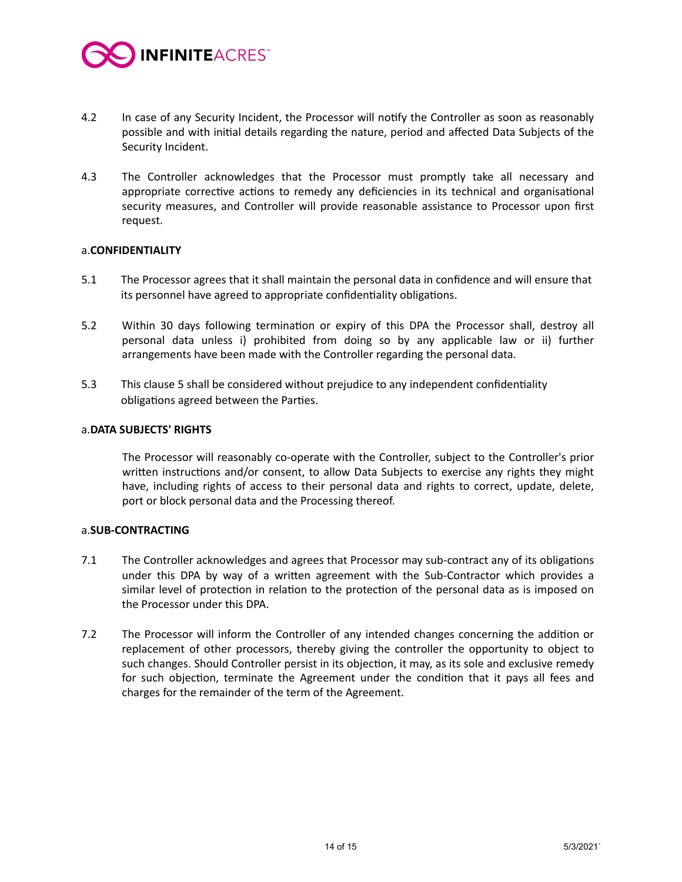

- 4.2 In case of any Security Incident, the Processor will notify the Controller as soon as reasonably possible and with initial details regarding the nature, period and affected Data Subjects of the Security Incident.
- 4.3 The Controller acknowledges that the Processor must promptly take all necessary and appropriate corrective actions to remedy any deficiencies in its technical and organisational security measures, and Controller will provide reasonable assistance to Processor upon first request.

#### a.**CONFIDENTIALITY**

- 5.1 The Processor agrees that it shall maintain the personal data in confidence and will ensure that its personnel have agreed to appropriate confidentiality obligations.
- 5.2 Within 30 days following termination or expiry of this DPA the Processor shall, destroy all personal data unless i) prohibited from doing so by any applicable law or ii) further arrangements have been made with the Controller regarding the personal data.
- 5.3 This clause 5 shall be considered without prejudice to any independent confidentiality obligations agreed between the Parties.

#### a.**DATA SUBJECTS' RIGHTS**

The Processor will reasonably co-operate with the Controller, subject to the Controller's prior written instructions and/or consent, to allow Data Subjects to exercise any rights they might have, including rights of access to their personal data and rights to correct, update, delete, port or block personal data and the Processing thereof.

#### a.SUB-CONTRACTING

- 7.1 The Controller acknowledges and agrees that Processor may sub-contract any of its obligations under this DPA by way of a written agreement with the Sub-Contractor which provides a similar level of protection in relation to the protection of the personal data as is imposed on the Processor under this DPA.
- 7.2 The Processor will inform the Controller of any intended changes concerning the addition or replacement of other processors, thereby giving the controller the opportunity to object to such changes. Should Controller persist in its objection, it may, as its sole and exclusive remedy for such objection, terminate the Agreement under the condition that it pays all fees and charges for the remainder of the term of the Agreement.